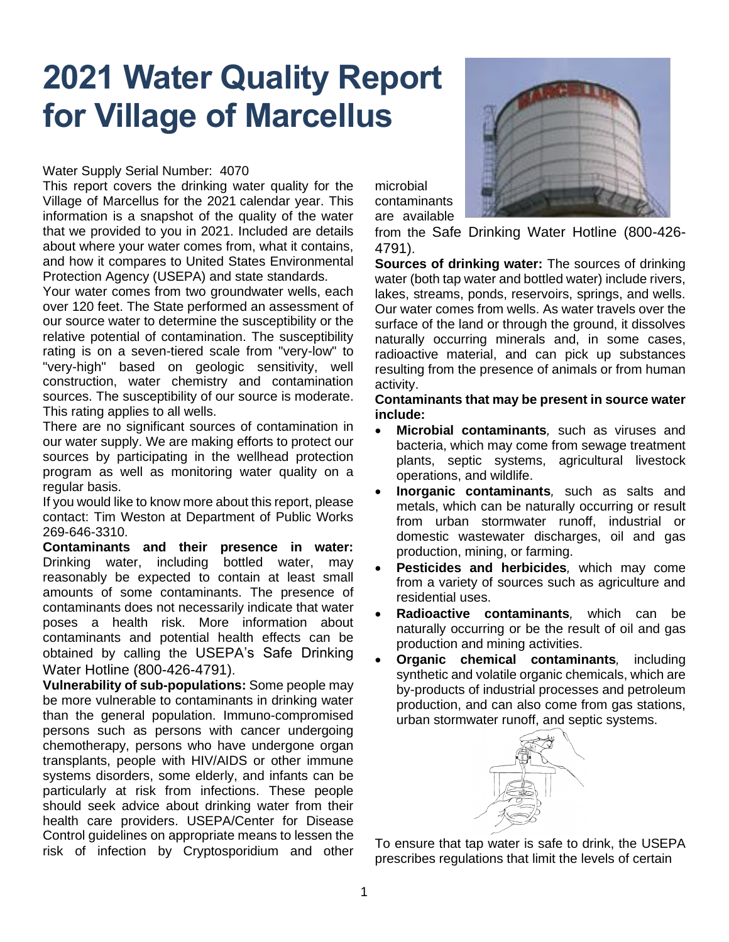## **2021 Water Quality Report for Village of Marcellus**

## Water Supply Serial Number: 4070

This report covers the drinking water quality for the Village of Marcellus for the 2021 calendar year. This information is a snapshot of the quality of the water that we provided to you in 2021. Included are details about where your water comes from, what it contains, and how it compares to United States Environmental Protection Agency (USEPA) and state standards.

Your water comes from two groundwater wells, each over 120 feet. The State performed an assessment of our source water to determine the susceptibility or the relative potential of contamination. The susceptibility rating is on a seven-tiered scale from "very-low" to "very-high" based on geologic sensitivity, well construction, water chemistry and contamination sources. The susceptibility of our source is moderate. This rating applies to all wells.

There are no significant sources of contamination in our water supply. We are making efforts to protect our sources by participating in the wellhead protection program as well as monitoring water quality on a regular basis.

If you would like to know more about this report, please contact: Tim Weston at Department of Public Works 269-646-3310.

**Contaminants and their presence in water:**  Drinking water, including bottled water, may reasonably be expected to contain at least small amounts of some contaminants. The presence of contaminants does not necessarily indicate that water poses a health risk. More information about contaminants and potential health effects can be obtained by calling the USEPA's Safe Drinking Water Hotline (800-426-4791).

**Vulnerability of sub-populations:** Some people may be more vulnerable to contaminants in drinking water than the general population. Immuno-compromised persons such as persons with cancer undergoing chemotherapy, persons who have undergone organ transplants, people with HIV/AIDS or other immune systems disorders, some elderly, and infants can be particularly at risk from infections. These people should seek advice about drinking water from their health care providers. USEPA/Center for Disease Control guidelines on appropriate means to lessen the risk of infection by Cryptosporidium and other



microbial contaminants are available

from the Safe Drinking Water Hotline (800-426- 4791).

**Sources of drinking water:** The sources of drinking water (both tap water and bottled water) include rivers, lakes, streams, ponds, reservoirs, springs, and wells. Our water comes from wells. As water travels over the surface of the land or through the ground, it dissolves naturally occurring minerals and, in some cases, radioactive material, and can pick up substances resulting from the presence of animals or from human activity.

**Contaminants that may be present in source water include:**

- **Microbial contaminants***,* such as viruses and bacteria, which may come from sewage treatment plants, septic systems, agricultural livestock operations, and wildlife.
- **Inorganic contaminants***,* such as salts and metals, which can be naturally occurring or result from urban stormwater runoff, industrial or domestic wastewater discharges, oil and gas production, mining, or farming.
- **Pesticides and herbicides***,* which may come from a variety of sources such as agriculture and residential uses.
- **Radioactive contaminants***,* which can be naturally occurring or be the result of oil and gas production and mining activities.
- **Organic chemical contaminants***,* including synthetic and volatile organic chemicals, which are by-products of industrial processes and petroleum production, and can also come from gas stations, urban stormwater runoff, and septic systems.



To ensure that tap water is safe to drink, the USEPA prescribes regulations that limit the levels of certain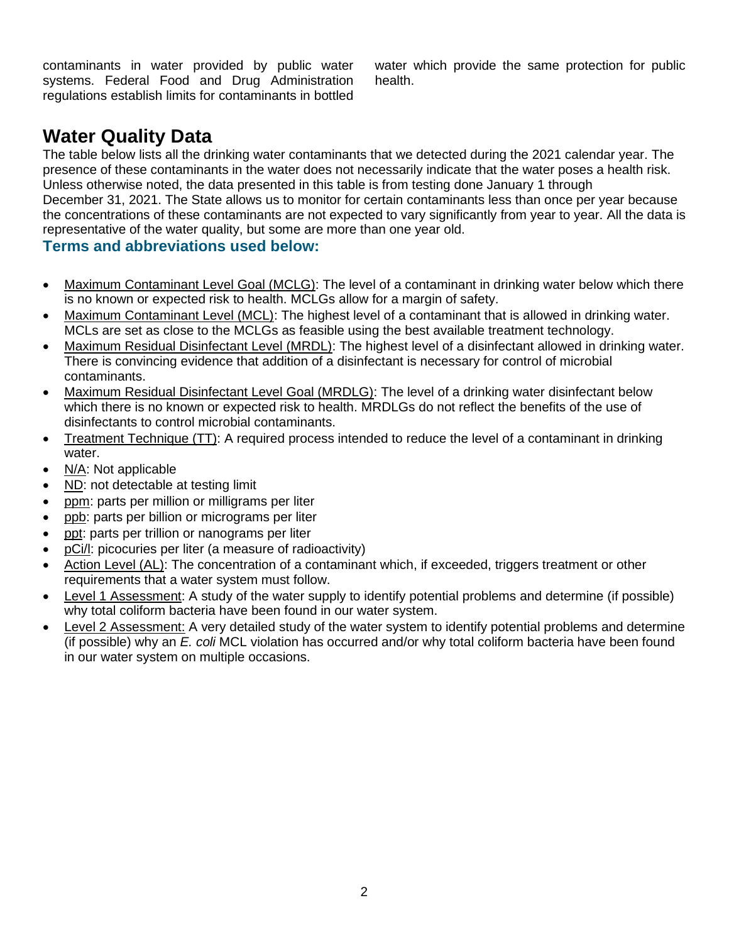contaminants in water provided by public water systems. Federal Food and Drug Administration regulations establish limits for contaminants in bottled water which provide the same protection for public health.

## **Water Quality Data**

The table below lists all the drinking water contaminants that we detected during the 2021 calendar year. The presence of these contaminants in the water does not necessarily indicate that the water poses a health risk. Unless otherwise noted, the data presented in this table is from testing done January 1 through December 31, 2021. The State allows us to monitor for certain contaminants less than once per year because the concentrations of these contaminants are not expected to vary significantly from year to year. All the data is representative of the water quality, but some are more than one year old.

## **Terms and abbreviations used below:**

- Maximum Contaminant Level Goal (MCLG): The level of a contaminant in drinking water below which there is no known or expected risk to health. MCLGs allow for a margin of safety.
- Maximum Contaminant Level (MCL): The highest level of a contaminant that is allowed in drinking water. MCLs are set as close to the MCLGs as feasible using the best available treatment technology.
- Maximum Residual Disinfectant Level (MRDL): The highest level of a disinfectant allowed in drinking water. There is convincing evidence that addition of a disinfectant is necessary for control of microbial contaminants.
- Maximum Residual Disinfectant Level Goal (MRDLG): The level of a drinking water disinfectant below which there is no known or expected risk to health. MRDLGs do not reflect the benefits of the use of disinfectants to control microbial contaminants.
- Treatment Technique (TT): A required process intended to reduce the level of a contaminant in drinking water.
- N/A: Not applicable
- ND: not detectable at testing limit
- ppm: parts per million or milligrams per liter
- ppb: parts per billion or micrograms per liter
- ppt: parts per trillion or nanograms per liter
- pCi/l: picocuries per liter (a measure of radioactivity)
- Action Level (AL): The concentration of a contaminant which, if exceeded, triggers treatment or other requirements that a water system must follow.
- Level 1 Assessment: A study of the water supply to identify potential problems and determine (if possible) why total coliform bacteria have been found in our water system.
- Level 2 Assessment: A very detailed study of the water system to identify potential problems and determine (if possible) why an *E. coli* MCL violation has occurred and/or why total coliform bacteria have been found in our water system on multiple occasions.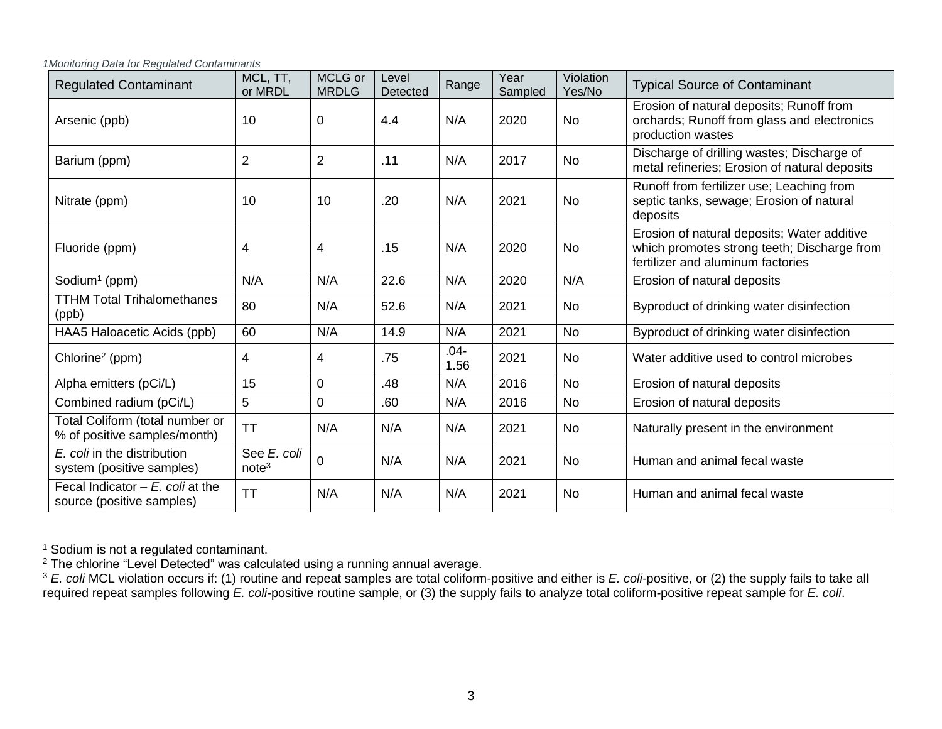*1Monitoring Data for Regulated Contaminants*

| <b>Regulated Contaminant</b>                                    | MCL, TT,<br>or MRDL              | MCLG or<br><b>MRDLG</b> | Level<br>Detected | Range           | Year<br>Sampled | Violation<br>Yes/No | <b>Typical Source of Contaminant</b>                                                                                            |
|-----------------------------------------------------------------|----------------------------------|-------------------------|-------------------|-----------------|-----------------|---------------------|---------------------------------------------------------------------------------------------------------------------------------|
| Arsenic (ppb)                                                   | 10                               | 0                       | 4.4               | N/A             | 2020            | <b>No</b>           | Erosion of natural deposits; Runoff from<br>orchards; Runoff from glass and electronics<br>production wastes                    |
| Barium (ppm)                                                    | $\overline{2}$                   | $\overline{2}$          | .11               | N/A             | 2017            | No                  | Discharge of drilling wastes; Discharge of<br>metal refineries; Erosion of natural deposits                                     |
| Nitrate (ppm)                                                   | 10                               | 10                      | .20               | N/A             | 2021            | <b>No</b>           | Runoff from fertilizer use; Leaching from<br>septic tanks, sewage; Erosion of natural<br>deposits                               |
| Fluoride (ppm)                                                  | 4                                | 4                       | .15               | N/A             | 2020            | <b>No</b>           | Erosion of natural deposits; Water additive<br>which promotes strong teeth; Discharge from<br>fertilizer and aluminum factories |
| Sodium <sup>1</sup> (ppm)                                       | N/A                              | N/A                     | 22.6              | N/A             | 2020            | N/A                 | Erosion of natural deposits                                                                                                     |
| <b>TTHM Total Trihalomethanes</b><br>(ppb)                      | 80                               | N/A                     | 52.6              | N/A             | 2021            | <b>No</b>           | Byproduct of drinking water disinfection                                                                                        |
| HAA5 Haloacetic Acids (ppb)                                     | 60                               | N/A                     | 14.9              | N/A             | 2021            | No                  | Byproduct of drinking water disinfection                                                                                        |
| Chlorine <sup>2</sup> (ppm)                                     | 4                                | 4                       | .75               | $.04 -$<br>1.56 | 2021            | <b>No</b>           | Water additive used to control microbes                                                                                         |
| Alpha emitters (pCi/L)                                          | 15                               | $\mathbf 0$             | .48               | N/A             | 2016            | No                  | Erosion of natural deposits                                                                                                     |
| Combined radium (pCi/L)                                         | 5                                | 0                       | .60               | N/A             | 2016            | No                  | Erosion of natural deposits                                                                                                     |
| Total Coliform (total number or<br>% of positive samples/month) | <b>TT</b>                        | N/A                     | N/A               | N/A             | 2021            | No                  | Naturally present in the environment                                                                                            |
| E. coli in the distribution<br>system (positive samples)        | See E. coli<br>note <sup>3</sup> | 0                       | N/A               | N/A             | 2021            | <b>No</b>           | Human and animal fecal waste                                                                                                    |
| Fecal Indicator $-E$ , coli at the<br>source (positive samples) | <b>TT</b>                        | N/A                     | N/A               | N/A             | 2021            | <b>No</b>           | Human and animal fecal waste                                                                                                    |

 $1$  Sodium is not a regulated contaminant.

 $2$  The chlorine "Level Detected" was calculated using a running annual average.

<sup>3</sup> *E. coli* MCL violation occurs if: (1) routine and repeat samples are total coliform-positive and either is *E. coli*-positive, or (2) the supply fails to take all required repeat samples following *E. coli*-positive routine sample, or (3) the supply fails to analyze total coliform-positive repeat sample for *E. coli*.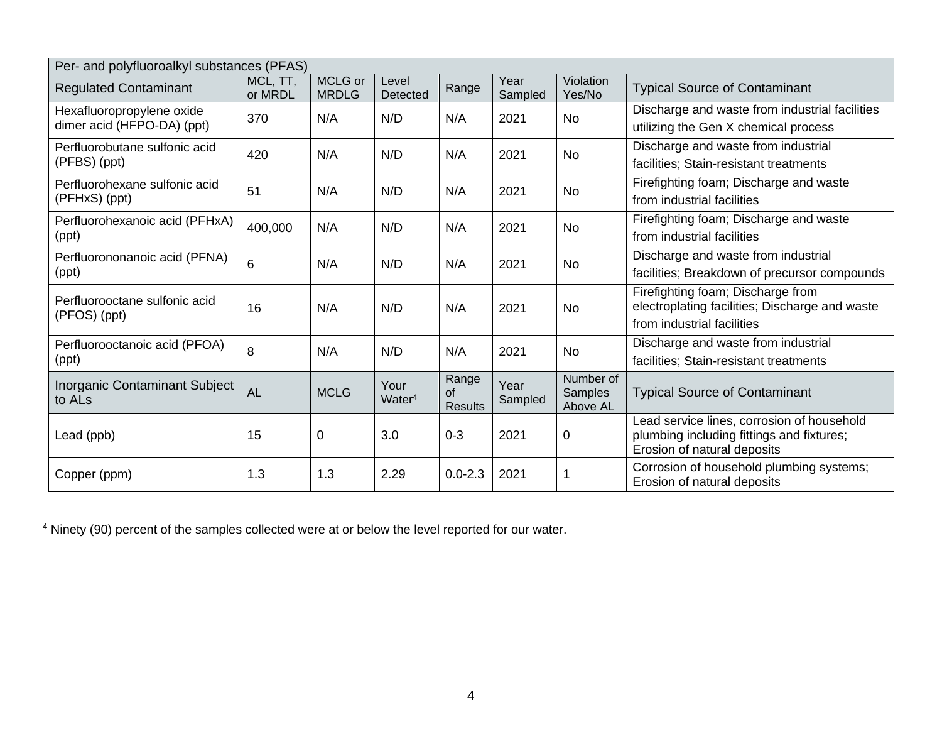| Per- and polyfluoroalkyl substances (PFAS)              |                     |                         |                            |                                      |                 |                                  |                                                                                                                        |  |  |  |
|---------------------------------------------------------|---------------------|-------------------------|----------------------------|--------------------------------------|-----------------|----------------------------------|------------------------------------------------------------------------------------------------------------------------|--|--|--|
| <b>Regulated Contaminant</b>                            | MCL, TT,<br>or MRDL | MCLG or<br><b>MRDLG</b> | Level<br>Detected          | Range                                | Year<br>Sampled | Violation<br>Yes/No              | <b>Typical Source of Contaminant</b>                                                                                   |  |  |  |
| Hexafluoropropylene oxide<br>dimer acid (HFPO-DA) (ppt) | 370                 | N/A                     | N/D                        | N/A                                  | 2021            | No                               | Discharge and waste from industrial facilities<br>utilizing the Gen X chemical process                                 |  |  |  |
| Perfluorobutane sulfonic acid<br>(PFBS) (ppt)           | 420                 | N/A                     | N/D                        | N/A                                  | 2021            | No                               | Discharge and waste from industrial<br>facilities; Stain-resistant treatments                                          |  |  |  |
| Perfluorohexane sulfonic acid<br>(PFHxS) (ppt)          | 51                  | N/A                     | N/D                        | N/A                                  | 2021            | <b>No</b>                        | Firefighting foam; Discharge and waste<br>from industrial facilities                                                   |  |  |  |
| Perfluorohexanoic acid (PFHxA)<br>(ppt)                 | 400,000             | N/A                     | N/D                        | N/A                                  | 2021            | No                               | Firefighting foam; Discharge and waste<br>from industrial facilities                                                   |  |  |  |
| Perfluorononanoic acid (PFNA)<br>(ppt)                  | 6                   | N/A                     | N/D                        | N/A                                  | 2021            | No                               | Discharge and waste from industrial<br>facilities; Breakdown of precursor compounds                                    |  |  |  |
| Perfluorooctane sulfonic acid<br>(PFOS) (ppt)           | 16                  | N/A                     | N/D                        | N/A                                  | 2021            | <b>No</b>                        | Firefighting foam; Discharge from<br>electroplating facilities; Discharge and waste<br>from industrial facilities      |  |  |  |
| Perfluorooctanoic acid (PFOA)<br>(ppt)                  | 8                   | N/A                     | N/D                        | N/A                                  | 2021            | No                               | Discharge and waste from industrial<br>facilities; Stain-resistant treatments                                          |  |  |  |
| Inorganic Contaminant Subject<br>to ALs                 | <b>AL</b>           | <b>MCLG</b>             | Your<br>Water <sup>4</sup> | Range<br><b>of</b><br><b>Results</b> | Year<br>Sampled | Number of<br>Samples<br>Above AL | <b>Typical Source of Contaminant</b>                                                                                   |  |  |  |
| Lead (ppb)                                              | 15                  | $\mathbf 0$             | 3.0                        | $0 - 3$                              | 2021            | $\mathbf 0$                      | Lead service lines, corrosion of household<br>plumbing including fittings and fixtures;<br>Erosion of natural deposits |  |  |  |
| Copper (ppm)                                            | 1.3                 | 1.3                     | 2.29                       | $0.0 - 2.3$                          | 2021            | -1                               | Corrosion of household plumbing systems;<br>Erosion of natural deposits                                                |  |  |  |

<sup>4</sup> Ninety (90) percent of the samples collected were at or below the level reported for our water.